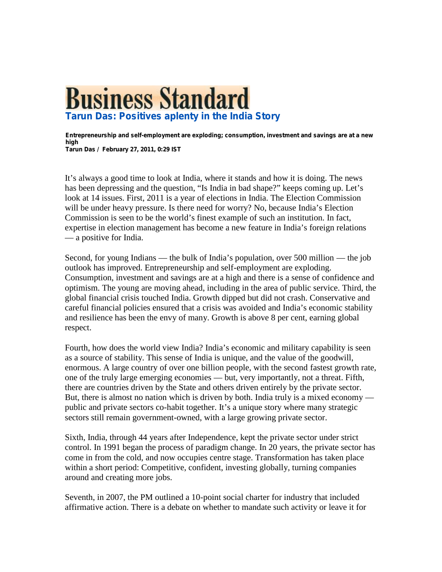## **Business Standard Tarun Das: Positives aplenty in the India Story**

**Entrepreneurship and self-employment are exploding; consumption, investment and savings are at a new high Tarun Das / February 27, 2011, 0:29 IST**

It's always a good time to look at India, where it stands and how it is doing. The news has been depressing and the question, "Is India in bad shape?" keeps coming up. Let's look at 14 issues. First, 2011 is a year of elections in India. The Election Commission will be under heavy pressure. Is there need for worry? No, because India's Election Commission is seen to be the world's finest example of such an institution. In fact, expertise in election management has become a new feature in India's foreign relations — a positive for India.

Second, for young Indians — the bulk of India's population, over 500 million — the job outlook has improved. Entrepreneurship and self-employment are exploding. Consumption, investment and savings are at a high and there is a sense of confidence and optimism. The young are moving ahead, including in the area of public service. Third, the global financial crisis touched India. Growth dipped but did not crash. Conservative and careful financial policies ensured that a crisis was avoided and India's economic stability and resilience has been the envy of many. Growth is above 8 per cent, earning global respect.

Fourth, how does the world view India? India's economic and military capability is seen as a source of stability. This sense of India is unique, and the value of the goodwill, enormous. A large country of over one billion people, with the second fastest growth rate, one of the truly large emerging economies — but, very importantly, not a threat. Fifth, there are countries driven by the State and others driven entirely by the private sector. But, there is almost no nation which is driven by both. India truly is a mixed economy public and private sectors co-habit together. It's a unique story where many strategic sectors still remain government-owned, with a large growing private sector.

Sixth, India, through 44 years after Independence, kept the private sector under strict control. In 1991 began the process of paradigm change. In 20 years, the private sector has come in from the cold, and now occupies centre stage. Transformation has taken place within a short period: Competitive, confident, investing globally, turning companies around and creating more jobs.

Seventh, in 2007, the PM outlined a 10-point social charter for industry that included affirmative action. There is a debate on whether to mandate such activity or leave it for